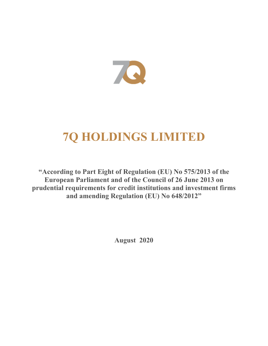

# **7Q HOLDINGS LIMITED**

**"According to Part Eight of Regulation (EU) No 575/2013 of the European Parliament and of the Council of 26 June 2013 on prudential requirements for credit institutions and investment firms and amending Regulation (EU) No 648/2012"**

**August 2020**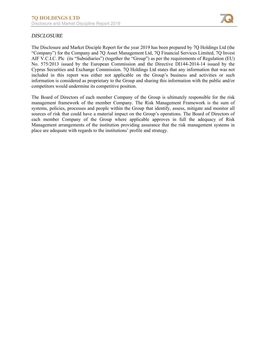

# *DISCLOSURE*

The Disclosure and Market Disciple Report for the year 2019 has been prepared by 7Q Holdings Ltd (the "Company") for the Company and 7Q Asset Management Ltd, 7Q Financial Services Limited, 7Q Invest AIF V.C.I.C. Plc (its "Subsidiaries") (together the "Group") as per the requirements of Regulation (EU) No. 575/2013 issued by the European Commission and the Directive DI144-2014-14 issued by the Cyprus Securities and Exchange Commission. 7Q Holdings Ltd states that any information that was not included in this report was either not applicable on the Group's business and activities or such information is considered as proprietary to the Group and sharing this information with the public and/or competitors would undermine its competitive position.

The Board of Directors of each member Company of the Group is ultimately responsible for the risk management framework of the member Company. The Risk Management Framework is the sum of systems, policies, processes and people within the Group that identify, assess, mitigate and monitor all sources of risk that could have a material impact on the Group's operations. The Board of Directors of each member Company of the Group where applicable approves in full the adequacy of Risk Management arrangements of the institution providing assurance that the risk management systems in place are adequate with regards to the institutions' profile and strategy.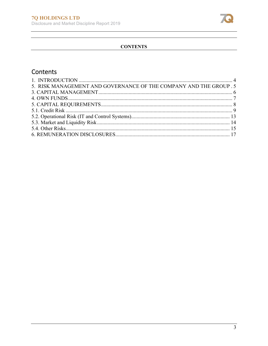

# **CONTENTS**

# Contents

| 5. RISK MANAGEMENT AND GOVERNANCE OF THE COMPANY AND THE GROUP .5 |  |
|-------------------------------------------------------------------|--|
|                                                                   |  |
|                                                                   |  |
|                                                                   |  |
|                                                                   |  |
|                                                                   |  |
|                                                                   |  |
|                                                                   |  |
|                                                                   |  |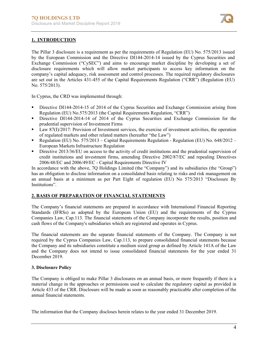

# **1. INTRODUCTION**

The Pillar 3 disclosure is a requirement as per the requirements of Regulation (EU) No. 575/2013 issued by the European Commission and the Directive DI144-2014-14 issued by the Cyprus Securities and Exchange Commission ("CySEC") and aims to encourage market discipline by developing a set of disclosure requirements which will allow market participants to access key information on the company's capital adequacy, risk assessment and control processes. The required regulatory disclosures are set out in the Articles 431-455 of the Capital Requirements Regulation ("CRR") (Regulation (EU) No. 575/2013).

In Cyprus, the CRD was implemented through:

- Directive DI144‐2014‐15 of 2014 of the Cyprus Securities and Exchange Commission arising from Regulation (EU) No.575/2013 (the Capital Requirements Regulation, "CRR")
- Directive DI144-2014-14 of 2014 of the Cyprus Securities and Exchange Commission for the prudential supervision of Investment Firms
- Law 87(I)/2017: Provision of Investment services, the exercise of investment activities, the operation of regulated markets and other related matters (hereafter "the Law")
- Regulation (EU) No. 575/2013 Capital Requirements Regulation Regulation (EU) No. 648/2012 European Markets Infrastructure Regulation
- Directive 2013/36/EU on access to the activity of credit institutions and the prudential supervision of credit institutions and investment firms, amending Directive 2002/87/EC and repealing Directives 2006/48/EC and 2006/49/EC - Capital Requirements Directive IV

In accordance with the above, 7Q Holdings Limited (the "Company") and its subsidiaries (the "Group") has an obligation to disclose information on a consolidated basis relating to risks and risk management on an annual basis at a minimum as per Part Eight of regulation (EU) No 575/2013 "Disclosure By Institutions".

# **2. BASIS OF PREPARATION OF FINANCIAL STATEMENTS**

The Company's financial statements are prepared in accordance with International Financial Reporting Standards (IFRSs) as adopted by the European Union (EU) and the requirements of the Cyprus Companies Law, Cap.113. The financial statements of the Company incorporate the results, position and cash flows of the Company's subsidiaries which are registered and operates in Cyprus.

The financial statements are the separate financial statements of the Company. The Company is not required by the Cyprus Companies Law, Cap.113, to prepare consolidated financial statements because the Company and its subsidiaries constitute a medium sized group as defined by Article 141A of the Law and the Company does not intend to issue consolidated financial statements for the year ended 31 December 2019.

# **3. Disclosure Policy**

The Company is obliged to make Pillar 3 disclosures on an annual basis, or more frequently if there is a material change in the approaches or permissions used to calculate the regulatory capital as provided in Article 433 of the CRR. Disclosure will be made as soon as reasonably practicable after completion of the annual financial statements.

The information that the Company discloses herein relates to the year ended 31 December 2019.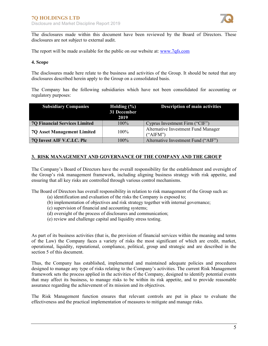

The disclosures made within this document have been reviewed by the Board of Directors. These disclosures are not subject to external audit.

The report will be made available for the public on our website at: www.7qfs.com

#### **4. Scope**

The disclosures made here relate to the business and activities of the Group. It should be noted that any disclosures described herein apply to the Group on a consolidated basis.

The Company has the following subsidiaries which have not been consolidated for accounting or regulatory purposes:

| <b>Subsidiary Companies</b>          | Holding $(\% )$<br>31 December<br>2019 | <b>Description of main activities</b>           |
|--------------------------------------|----------------------------------------|-------------------------------------------------|
| <b>7Q Financial Services Limited</b> | $100\%$                                | Cyprus Investment Firm ("CIF")                  |
| <b>7Q Asset Management Limited</b>   | $100\%$                                | Alternative Investment Fund Manager<br>("AIFM") |
| 7Q Invest AIF V.C.I.C. Plc           | 100%                                   | Alternative Investment Fund ("AIF")             |

#### **3. RISK MANAGEMENT AND GOVERNANCE OF THE COMPANY AND THE GROUP**

The Company's Board of Directors have the overall responsibility for the establishment and oversight of the Group's risk management framework, including aligning business strategy with risk appetite, and ensuring that all key risks are controlled through various control mechanisms.

The Board of Directors has overall responsibility in relation to risk management of the Group such as:

- (a) identification and evaluation of the risks the Company is exposed to;
- (b) implementation of objectives and risk strategy together with internal governance;
- (c) supervision of financial and accounting systems;
- (d) oversight of the process of disclosures and communication;
- (e) review and challenge capital and liquidity stress testing.

As part of its business activities (that is, the provision of financial services within the meaning and terms of the Law) the Company faces a variety of risks the most significant of which are credit, market, operational, liquidity, reputational, compliance, political, group and strategic and are described in the section 5 of this document.

Thus, the Company has established, implemented and maintained adequate policies and procedures designed to manage any type of risks relating to the Company's activities. The current Risk Management framework sets the process applied in the activities of the Company, designed to identify potential events that may affect its business, to manage risks to be within its risk appetite, and to provide reasonable assurance regarding the achievement of its mission and its objectives.

The Risk Management function ensures that relevant controls are put in place to evaluate the effectiveness and the practical implementation of measures to mitigate and manage risks.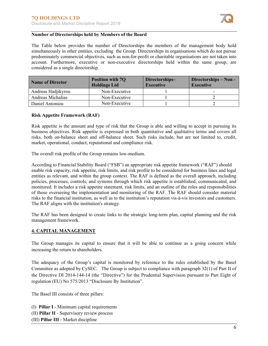

#### **Number of Directorships held by Members of the Board**

The Table below provides the number of Directorships the members of the management body hold simultaneously in other entities, excluding the Group. Directorships in organisations which do not pursue predominately commercial objectives, such as non-for-profit or charitable organisations are not taken into account. Furthermore, executive or non-executive directorships held within the same group, are considered as a single directorship.

| <b>Name of Director</b> | <b>Position with 7Q</b><br><b>Holdings Ltd</b> | Directorships-<br><b>Executive</b> | Directorships – Non -<br><b>Executive</b> |
|-------------------------|------------------------------------------------|------------------------------------|-------------------------------------------|
| Andreas Hadjikyrou      | Non-Executive                                  |                                    |                                           |
| Andreas Michalias       | Non-Executive                                  |                                    |                                           |
| Daniel Antoniou         | Non-Executive                                  |                                    |                                           |

#### **Risk Appetite Framework (RAF)**

Risk appetite is the amount and type of risk that the Group is able and willing to accept in pursuing its business objectives. Risk appetite is expressed in both quantitative and qualitative terms and covers all risks, both on-balance sheet and off-balance sheet. Such risks include, but are not limited to, credit, market, operational, conduct, reputational and compliance risk.

The overall risk profile of the Group remains low-medium.

According to Financial Stability Board ("FSB") an appropriate risk appetite framework ("RAF") should enable risk capacity, risk appetite, risk limits, and risk profile to be considered for business lines and legal entities as relevant, and within the group context. The RAF is defined as the overall approach, including policies, processes, controls, and systems through which risk appetite is established, communicated, and monitored. It includes a risk appetite statement, risk limits, and an outline of the roles and responsibilities of those overseeing the implementation and monitoring of the RAF. The RAF should consider material risks to the financial institution, as well as to the institution's reputation vis-à-vis investors and customers. The RAF aligns with the institution's strategy.

The RAF has been designed to create links to the strategic long-term plan, capital planning and the risk management framework.

#### **4. CAPITAL MANAGEMENT**

The Group manages its capital to ensure that it will be able to continue as a going concern while increasing the return to shareholders.

The adequacy of the Group's capital is monitored by reference to the rules established by the Basel Committee as adopted by CySEC. The Group is subject to compliance with paragraph 32(1) of Part II of the Directive DI 2014-144-14 (the "Directive") for the Prudential Supervision pursuant to Part Eight of regulation (EU) No 575/2013 "Disclosure By Institution".

The Basel III consists of three pillars:

(I) **Pillar I** - Minimum capital requirements (II) **Pillar II** - Supervisory review process (III) **Pillar III** - Market discipline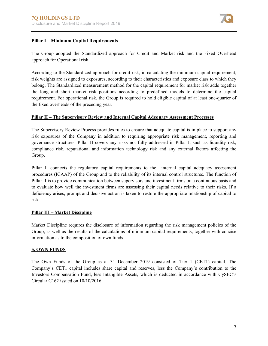

# **Pillar I – Minimum Capital Requirements**

The Group adopted the Standardized approach for Credit and Market risk and the Fixed Overhead approach for Operational risk.

According to the Standardized approach for credit risk, in calculating the minimum capital requirement, risk weights are assigned to exposures, according to their characteristics and exposure class to which they belong. The Standardized measurement method for the capital requirement for market risk adds together the long and short market risk positions according to predefined models to determine the capital requirement. For operational risk, the Group is required to hold eligible capital of at least one-quarter of the fixed overheads of the preceding year.

# **Pillar II – The Supervisory Review and Internal Capital Adequacy Assessment Processes**

The Supervisory Review Process provides rules to ensure that adequate capital is in place to support any risk exposures of the Company in addition to requiring appropriate risk management, reporting and governance structures. Pillar II covers any risks not fully addressed in Pillar I, such as liquidity risk, compliance risk, reputational and information technology risk and any external factors affecting the Group.

Pillar II connects the regulatory capital requirements to the internal capital adequacy assessment procedures (ICAAP) of the Group and to the reliability of its internal control structures. The function of Pillar II is to provide communication between supervisors and investment firms on a continuous basis and to evaluate how well the investment firms are assessing their capital needs relative to their risks. If a deficiency arises, prompt and decisive action is taken to restore the appropriate relationship of capital to risk.

# **Pillar III – Market Discipline**

Market Discipline requires the disclosure of information regarding the risk management policies of the Group, as well as the results of the calculations of minimum capital requirements, together with concise information as to the composition of own funds.

# **5. OWN FUNDS**

The Own Funds of the Group as at 31 December 2019 consisted of Tier 1 (CET1) capital. The Company's CET1 capital includes share capital and reserves, less the Company's contribution to the Investors Compensation Fund, less Intangible Assets, which is deducted in accordance with CySEC's Circular C162 issued on 10/10/2016.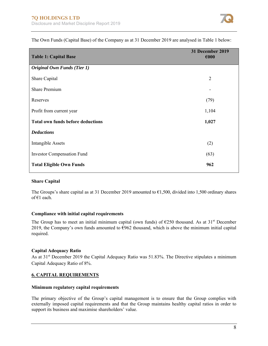

| <b>Table 1: Capital Base</b>             | 31 December 2019<br>$\epsilon$ 000 |
|------------------------------------------|------------------------------------|
| <b>Original Own Funds (Tier 1)</b>       |                                    |
| Share Capital                            | $\overline{2}$                     |
| <b>Share Premium</b>                     | $\overline{\phantom{a}}$           |
| Reserves                                 | (79)                               |
| Profit from current year                 | 1,104                              |
| <b>Total own funds before deductions</b> | 1,027                              |
| <b>Deductions</b>                        |                                    |
| <b>Intangible Assets</b>                 | (2)                                |
| <b>Investor Compensation Fund</b>        | (63)                               |
| <b>Total Eligible Own Funds</b>          | 962                                |

The Own Funds (Capital Base) of the Company as at 31 December 2019 are analysed in Table 1 below:

# **Share Capital**

The Groups's share capital as at 31 December 2019 amounted to  $\epsilon$ 1,500, divided into 1,500 ordinary shares of €1 each.

#### **Compliance with initial capital requirements**

The Group has to meet an initial minimum capital (own funds) of  $\epsilon$ 250 thousand. As at 31<sup>st</sup> December 2019, the Company's own funds amounted to  $\epsilon$ 962 thousand, which is above the minimum initial capital required.

#### **Capital Adequacy Ratio**

As at 31<sup>st</sup> December 2019 the Capital Adequacy Ratio was 51.83%. The Directive stipulates a minimum Capital Adequacy Ratio of 8%.

# **6. CAPITAL REQUIREMENTS**

#### **Minimum regulatory capital requirements**

The primary objective of the Group's capital management is to ensure that the Group complies with externally imposed capital requirements and that the Group maintains healthy capital ratios in order to support its business and maximise shareholders' value.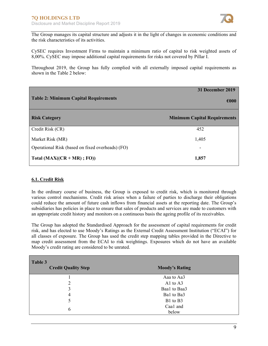

The Group manages its capital structure and adjusts it in the light of changes in economic conditions and the risk characteristics of its activities.

CySEC requires Investment Firms to maintain a minimum ratio of capital to risk weighted assets of 8,00%. CySEC may impose additional capital requirements for risks not covered by Pillar I.

Throughout 2019, the Group has fully complied with all externally imposed capital requirements as shown in the Table 2 below:

| <b>Table 2: Minimum Capital Requirements</b>     | 31 December 2019<br>€000            |
|--------------------------------------------------|-------------------------------------|
| <b>Risk Category</b>                             | <b>Minimum Capital Requirements</b> |
| Credit Risk (CR)                                 | 452                                 |
| Market Risk (MR)                                 | 1,405                               |
| Operational Risk (based on fixed overheads) (FO) |                                     |
| Total $(MAX((CR+MR); FO))$                       | 1,857                               |

#### **6.1. Credit Risk**

In the ordinary course of business, the Group is exposed to credit risk, which is monitored through various control mechanisms. Credit risk arises when a failure of parties to discharge their obligations could reduce the amount of future cash inflows from financial assets at the reporting date. The Group's subsidiaries has policies in place to ensure that sales of products and services are made to customers with an appropriate credit history and monitors on a continuous basis the ageing profile of its receivables.

The Group has adopted the Standardised Approach for the assessment of capital requirements for credit risk, and has elected to use Moody's Ratings as the External Credit Assessment Institution ("ECAI") for all classes of exposure. The Group has used the credit step mapping tables provided in the Directive to map credit assessment from the ECAI to risk weightings. Exposures which do not have an available Moody's credit rating are considered to be unrated.

| Table 3<br><b>Credit Quality Step</b> | <b>Moody's Rating</b> |
|---------------------------------------|-----------------------|
|                                       | Aaa to Aa3            |
| 2                                     | A1 to A3              |
| 3                                     | Baal to Baa3          |
| 4                                     | Bal to Ba3            |
|                                       | B1 to B3              |
| 6                                     | Caa1 and<br>below     |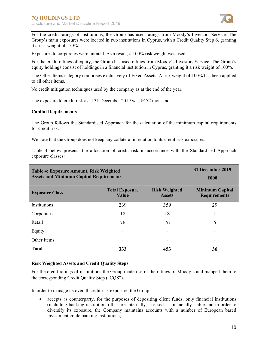

For the credit ratings of institutions, the Group has used ratings from Moody's Investors Service. The Group's main exposures were located in two institutions in Cyprus, with a Credit Quality Step 6, granting it a risk weight of 150%.

Exposures to corporates were unrated. As a result, a 100% risk weight was used.

For the credit ratings of equity, the Group has used ratings from Moody's Investors Service. The Group's equity holdings consist of holdings in a financial institution in Cyprus, granting it a risk weight of 100%.

The Other Items category comprises exclusively of Fixed Assets. A risk weight of 100% has been applied to all other items.

No credit mitigation techniques used by the company as at the end of the year.

The exposure to credit risk as at 31 December 2019 was €452 thousand.

#### **Capital Requirements**

The Group follows the Standardised Approach for the calculation of the minimum capital requirements for credit risk.

We note that the Group does not keep any collateral in relation to its credit risk exposures.

Table 4 below presents the allocation of credit risk in accordance with the Standardised Approach exposure classes:

| <b>Table 4: Exposure Amount, Risk Weighted</b><br><b>Assets and Minimum Capital Requirements</b> |                                       | 31 December 2019<br>$\epsilon$ 000    |                                               |
|--------------------------------------------------------------------------------------------------|---------------------------------------|---------------------------------------|-----------------------------------------------|
| <b>Exposure Class</b>                                                                            | <b>Total Exposure</b><br><b>Value</b> | <b>Risk Weighted</b><br><b>Assets</b> | <b>Minimum Capital</b><br><b>Requirements</b> |
| Institutions                                                                                     | 239                                   | 359                                   | 29                                            |
| Corporates                                                                                       | 18                                    | 18                                    | 1                                             |
| Retail                                                                                           | 76                                    | 76                                    | 6                                             |
| Equity                                                                                           |                                       |                                       |                                               |
| Other Items                                                                                      | -                                     |                                       | -                                             |
| <b>Total</b>                                                                                     | 333                                   | 453                                   | 36                                            |

#### **Risk Weighted Assets and Credit Quality Steps**

For the credit ratings of institutions the Group made use of the ratings of Moody's and mapped them to the corresponding Credit Quality Step ("CQS").

In order to manage its overall credit risk exposure, the Group:

 accepts as counterparty, for the purposes of depositing client funds, only financial institutions (including banking institutions) that are internally assessed as financially stable and in order to diversify its exposure, the Company maintains accounts with a number of European based investment grade banking institutions;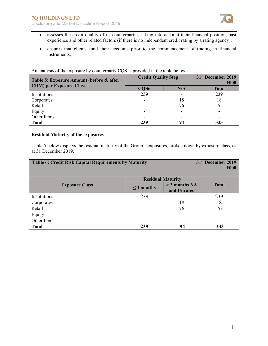

- assesses the credit quality of its counterparties taking into account their financial position, past experience and other related factors (if there is no independent credit rating by a rating agency);
- ensures that clients fund their accounts prior to the commencement of trading in financial instruments;

| Table 5: Exposure Amount (before & after | <b>Credit Quality Step</b> |                          | 31 <sup>st</sup> December 2019<br>€000 |  |
|------------------------------------------|----------------------------|--------------------------|----------------------------------------|--|
| <b>CRM)</b> per Exposure Class           | CQS6                       | N/A                      | <b>Total</b>                           |  |
| Institutions                             | 239                        | $\overline{\phantom{a}}$ | 239                                    |  |
| Corporates                               |                            | 18                       | 18                                     |  |
| Retail                                   |                            | 76                       | 76                                     |  |
| Equity                                   |                            | $\overline{\phantom{0}}$ | -                                      |  |
| Other Items                              |                            | $\overline{\phantom{0}}$ |                                        |  |
| <b>Total</b>                             | 239                        | 94                       | 333                                    |  |

An analysis of the exposure by counterparty CQS is provided in the table below:

#### **Residual Maturity of the exposures**

Table 5 below displays the residual maturity of the Group's exposures, broken down by exposure class, as at 31 December 2019.

| <b>Table 6: Credit Risk Capital Requirements by Maturity</b> |                 | 31 <sup>st</sup> December 2019<br>$\epsilon$ 000 |              |
|--------------------------------------------------------------|-----------------|--------------------------------------------------|--------------|
|                                                              |                 | <b>Residual Maturity</b>                         |              |
| <b>Exposure Class</b>                                        | $\leq$ 3 months | $>$ 3 months NA<br>and Unrated                   | <b>Total</b> |
| Institutions                                                 | 239             | $\overline{\phantom{a}}$                         | 239          |
| Corporates                                                   |                 | 18                                               | 18           |
| Retail                                                       |                 | 76                                               | 76           |
| Equity                                                       |                 | $\overline{\phantom{a}}$                         |              |
| Other Items                                                  |                 | -                                                |              |
| <b>Total</b>                                                 | 239             | 94                                               | 333          |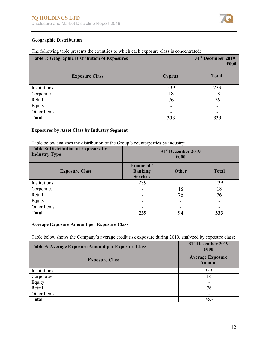

# **Geographic Distribution**

| Table 7: Geographic Distribution of Exposures |                          | 31 <sup>st</sup> December 2019<br>$\epsilon$ 000 |
|-----------------------------------------------|--------------------------|--------------------------------------------------|
| <b>Exposure Class</b>                         | <b>Cyprus</b>            | <b>Total</b>                                     |
| Institutions                                  | 239                      | 239                                              |
| Corporates                                    | 18                       | 18                                               |
| Retail                                        | 76                       | 76                                               |
| Equity                                        | $\overline{\phantom{0}}$ | -                                                |
| Other Items                                   |                          | -                                                |
| <b>Total</b>                                  | 333                      | 333                                              |

The following table presents the countries to which each exposure class is concentrated:

# **Exposures by Asset Class by Industry Segment**

Table below analyses the distribution of the Group's counterparties by industry:

| <b>Table 8: Distribution of Exposure by</b><br><b>Industry Type</b> | 31 <sup>st</sup> December 2019<br>$\epsilon$ 000 |              |              |
|---------------------------------------------------------------------|--------------------------------------------------|--------------|--------------|
| <b>Exposure Class</b>                                               | Financial /<br><b>Banking</b><br><b>Services</b> | <b>Other</b> | <b>Total</b> |
| Institutions                                                        | 239                                              |              | 239          |
| Corporates                                                          | ۰                                                | 18           | 18           |
| Retail                                                              | -                                                | 76           | 76           |
| Equity                                                              | $\overline{a}$                                   | -            |              |
| Other Items                                                         | -                                                |              |              |
| <b>Total</b>                                                        | 239                                              | 94           | 333          |

#### **Average Exposure Amount per Exposure Class**

Table below shows the Company's average credit risk exposure during 2019, analyzed by exposure class:

| Table 9: Average Exposure Amount per Exposure Class | 31 <sup>st</sup> December 2019<br>$\epsilon$ 000 |
|-----------------------------------------------------|--------------------------------------------------|
| <b>Exposure Class</b>                               | <b>Average Exposure</b><br>Amount                |
| Institutions                                        | 359                                              |
| Corporates                                          | 18                                               |
| Equity                                              | -                                                |
| Retail                                              | 76                                               |
| Other Items                                         | ۰                                                |
| <b>Total</b>                                        | 453                                              |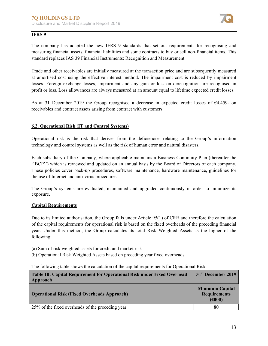

# **IFRS 9**

The company has adapted the new IFRS 9 standards that set out requirements for recognising and measuring financial assets, financial liabilities and some contracts to buy or sell non-financial items. This standard replaces IAS 39 Financial Instruments: Recognition and Measurement.

Trade and other receivables are initially measured at the transaction price and are subsequently measured at amortised cost using the effective interest method. The impairment cost is reduced by impairment losses. Foreign exchange losses, impairment and any gain or loss on derecognition are recognised in profit or loss. Loss allowances are always measured at an amount equal to lifetime expected credit losses.

As at 31 December 2019 the Group recognised a decrease in expected credit losses of €4.459- on receivables and contract assets arising from contract with customers.

#### **6.2. Operational Risk (IT and Control Systems)**

Operational risk is the risk that derives from the deficiencies relating to the Group's information technology and control systems as well as the risk of human error and natural disasters.

Each subsidiary of the Company, where applicable maintains a Business Continuity Plan (thereafter the ''BCP'') which is reviewed and updated on an annual basis by the Board of Directors of each company. These policies cover back-up procedures, software maintenance, hardware maintenance, guidelines for the use of Internet and anti-virus procedures

The Group's systems are evaluated, maintained and upgraded continuously in order to minimize its exposure.

#### **Capital Requirements**

Due to its limited authorisation, the Group falls under Article 95(1) of CRR and therefore the calculation of the capital requirements for operational risk is based on the fixed overheads of the preceding financial year. Under this method, the Group calculates its total Risk Weighted Assets as the higher of the following:

- (a) Sum of risk weighted assets for credit and market risk
- (b) Operational Risk Weighted Assets based on preceding year fixed overheads

The following table shows the calculation of the capital requirements for Operational Risk.

| Table 10: Capital Requirement for Operational Risk under Fixed Overhead<br>Approach | 31 <sup>st</sup> December 2019                          |
|-------------------------------------------------------------------------------------|---------------------------------------------------------|
| <b>Operational Risk (Fixed Overheads Approach)</b>                                  | <b>Minimum Capital</b><br><b>Requirements</b><br>(6000) |
| 25% of the fixed overheads of the preceding year                                    | 80                                                      |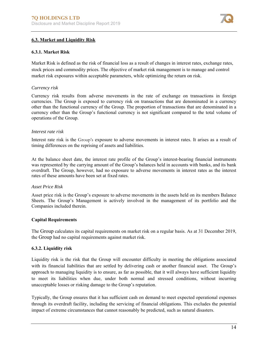

# **6.3. Market and Liquidity Risk**

#### **6.3.1. Market Risk**

Market Risk is defined as the risk of financial loss as a result of changes in interest rates, exchange rates, stock prices and commodity prices. The objective of market risk management is to manage and control market risk exposures within acceptable parameters, while optimizing the return on risk.

#### *Currency risk*

Currency risk results from adverse movements in the rate of exchange on transactions in foreign currencies. The Group is exposed to currency risk on transactions that are denominated in a currency other than the functional currency of the Group. The proportion of transactions that are denominated in a currency other than the Group's functional currency is not significant compared to the total volume of operations of the Group.

#### *Interest rate risk*

Interest rate risk is the Group's exposure to adverse movements in interest rates. It arises as a result of timing differences on the reprising of assets and liabilities.

At the balance sheet date, the interest rate profile of the Group's interest-bearing financial instruments was represented by the carrying amount of the Group's balances held in accounts with banks, and its bank overdraft. The Group, however, had no exposure to adverse movements in interest rates as the interest rates of these amounts have been set at fixed rates.

#### *Asset Price Risk*

Asset price risk is the Group's exposure to adverse movements in the assets held on its members Balance Sheets. The Group's Management is actively involved in the management of its portfolio and the Companies included therein.

#### **Capital Requirements**

The Group calculates its capital requirements on market risk on a regular basis. As at 31 December 2019, the Group had no capital requirements against market risk.

#### **6.3.2. Liquidity risk**

Liquidity risk is the risk that the Group will encounter difficulty in meeting the obligations associated with its financial liabilities that are settled by delivering cash or another financial asset. The Group's approach to managing liquidity is to ensure, as far as possible, that it will always have sufficient liquidity to meet its liabilities when due, under both normal and stressed conditions, without incurring unacceptable losses or risking damage to the Group's reputation.

Typically, the Group ensures that it has sufficient cash on demand to meet expected operational expenses through its overdraft facility, including the servicing of financial obligations. This excludes the potential impact of extreme circumstances that cannot reasonably be predicted, such as natural disasters.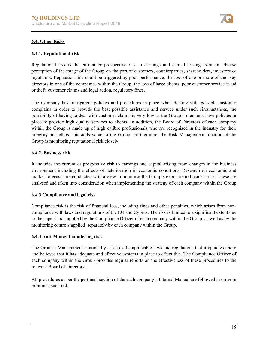

# **6.4. Other Risks**

#### **6.4.1. Reputational risk**

Reputational risk is the current or prospective risk to earnings and capital arising from an adverse perception of the image of the Group on the part of customers, counterparties, shareholders, investors or regulators. Reputation risk could be triggered by poor performance, the loss of one or more of the key directors in one of the companies within the Group, the loss of large clients, poor customer service fraud or theft, customer claims and legal action, regulatory fines.

The Company has transparent policies and procedures in place when dealing with possible customer complains in order to provide the best possible assistance and service under such circumstances, the possibility of having to deal with customer claims is very low as the Group's members have policies in place to provide high quality services to clients. In addition, the Board of Directors of each company within the Group is made up of high calibre professionals who are recognised in the industry for their integrity and ethos; this adds value to the Group. Furthermore, the Risk Management function of the Group is monitoring reputational risk closely.

#### **6.4.2. Business risk**

It includes the current or prospective risk to earnings and capital arising from changes in the business environment including the effects of deterioration in economic conditions. Research on economic and market forecasts are conducted with a view to minimise the Group's exposure to business risk. These are analysed and taken into consideration when implementing the strategy of each company within the Group.

# **6.4.3 Compliance and legal risk**

Compliance risk is the risk of financial loss, including fines and other penalties, which arises from noncompliance with laws and regulations of the EU and Cyprus. The risk is limited to a significant extent due to the supervision applied by the Compliance Officer of each company within the Group, as well as by the monitoring controls applied separately by each company within the Group.

# **6.4.4 Anti-Money Laundering risk**

The Group's Management continually assesses the applicable laws and regulations that it operates under and believes that it has adequate and effective systems in place to effect this. The Compliance Officer of each company within the Group provides regular reports on the effectiveness of these procedures to the relevant Board of Directors.

All procedures as per the pertinent section of the each company's Internal Manual are followed in order to minimize such risk.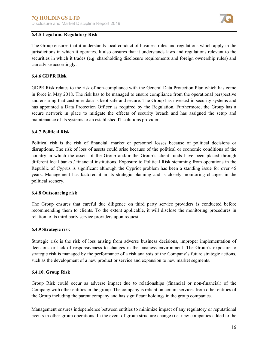

#### **6.4.5 Legal and Regulatory Risk**

The Group ensures that it understands local conduct of business rules and regulations which apply in the jurisdictions in which it operates. It also ensures that it understands laws and regulations relevant to the securities in which it trades (e.g. shareholding disclosure requirements and foreign ownership rules) and can advise accordingly.

# **6.4.6 GDPR Risk**

GDPR Risk relates to the risk of non‐compliance with the General Data Protection Plan which has come in force in May 2018. The risk has to be managed to ensure compliance from the operational perspective and ensuring that customer data is kept safe and secure. The Group has invested in security systems and has appointed a Data Protection Officer as required by the Regulation. Furthermore, the Group has a secure network in place to mitigate the effects of security breach and has assigned the setup and maintenance of its systems to an established IT solutions provider.

#### **6.4.7 Political Risk**

Political risk is the risk of financial, market or personnel losses because of political decisions or disruptions. The risk of loss of assets could arise because of the political or economic conditions of the country in which the assets of the Group and/or the Group's client funds have been placed through different local banks / financial institutions. Exposure to Political Risk stemming from operations in the Republic of Cyprus is significant although the Cypriot problem has been a standing issue for over 45 years. Management has factored it in its strategic planning and is closely monitoring changes in the political scenery.

#### **6.4.8 Outsourcing risk**

The Group ensures that careful due diligence on third party service providers is conducted before recommending them to clients. To the extent applicable, it will disclose the monitoring procedures in relation to its third party service providers upon request.

#### **6.4.9 Strategic risk**

Strategic risk is the risk of loss arising from adverse business decisions, improper implementation of decisions or lack of responsiveness to changes in the business environment. The Group's exposure to strategic risk is managed by the performance of a risk analysis of the Company's future strategic actions, such as the development of a new product or service and expansion to new market segments.

#### **6.4.10. Group Risk**

Group Risk could occur as adverse impact due to relationships (financial or non-financial) of the Company with other entities in the group. The company is reliant on certain services from other entities of the Group including the parent company and has significant holdings in the group companies.

Management ensures independence between entities to minimize impact of any regulatory or reputational events in other group operations. In the event of group structure change (i.e. new companies added to the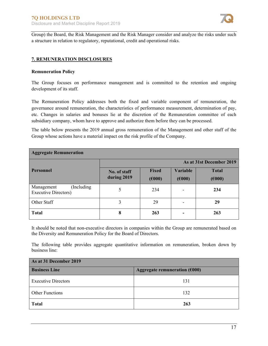

Group) the Board, the Risk Management and the Risk Manager consider and analyze the risks under such a structure in relation to regulatory, reputational, credit and operational risks.

# **7. REMUNERATION DISCLOSURES**

#### **Remuneration Policy**

The Group focuses on performance management and is committed to the retention and ongoing development of its staff.

The Remuneration Policy addresses both the fixed and variable component of remuneration, the governance around remuneration, the characteristics of performance measurement, determination of pay, etc. Changes in salaries and bonuses lie at the discretion of the Remuneration committee of each subsidiary company, whom have to approve and authorize them before they can be processed.

The table below presents the 2019 annual gross remuneration of the Management and other staff of the Group whose actions have a material impact on the risk profile of the Company.

| <b>Aggregate Remuneration</b>                             |                             |                        |                           |                        |
|-----------------------------------------------------------|-----------------------------|------------------------|---------------------------|------------------------|
|                                                           | As at 31st December 2019    |                        |                           |                        |
| <b>Personnel</b>                                          | No. of staff<br>during 2019 | <b>Fixed</b><br>(6000) | <b>Variable</b><br>(6000) | <b>Total</b><br>(6000) |
| (Including)<br>Management<br><b>Executive Directors</b> ) | 5                           | 234                    |                           | 234                    |
| Other Staff                                               | 3                           | 29                     |                           | 29                     |
| <b>Total</b>                                              | 8                           | 263                    |                           | 263                    |

It should be noted that non-executive directors in companies within the Group are remunerated based on the Diversity and Remuneration Policy for the Board of Directors.

The following table provides aggregate quantitative information on remuneration, broken down by business line:

| As at 31 December 2019     |                                 |  |  |
|----------------------------|---------------------------------|--|--|
| <b>Business Line</b>       | Aggregate remuneration $(6000)$ |  |  |
| <b>Executive Directors</b> | 131                             |  |  |
| <b>Other Functions</b>     | 132                             |  |  |
| <b>Total</b>               | 263                             |  |  |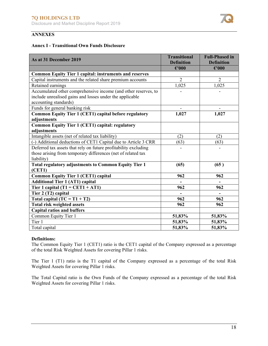

# **ANNEXES**

#### **Annex I - Transitional Own Funds Disclosure**

| As at 31 December 2019                                                                                                     | <b>Transitional</b><br><b>Definition</b> | <b>Full-Phased in</b><br><b>Definition</b> |
|----------------------------------------------------------------------------------------------------------------------------|------------------------------------------|--------------------------------------------|
|                                                                                                                            | $\epsilon$ '000                          | $\epsilon$ '000                            |
| <b>Common Equity Tier 1 capital: instruments and reserves</b>                                                              |                                          |                                            |
| Capital instruments and the related share premium accounts                                                                 | $\overline{2}$                           | $\overline{2}$                             |
| Retained earnings                                                                                                          | 1,025                                    | 1,025                                      |
| Accumulated other comprehensive income (and other reserves, to<br>include unrealised gains and losses under the applicable |                                          |                                            |
| accounting standards)                                                                                                      |                                          |                                            |
| Funds for general banking risk                                                                                             |                                          |                                            |
| <b>Common Equity Tier 1 (CET1) capital before regulatory</b>                                                               | 1,027                                    | 1,027                                      |
| adjustments                                                                                                                |                                          |                                            |
| <b>Common Equity Tier 1 (CET1) capital: regulatory</b>                                                                     |                                          |                                            |
| adjustments                                                                                                                |                                          |                                            |
| Intangible assets (net of related tax liability)                                                                           | (2)                                      | (2)                                        |
| (-) Additional deductions of CET1 Capital due to Article 3 CRR                                                             | (63)                                     | (63)                                       |
| Deferred tax assets that rely on future profitability excluding                                                            |                                          |                                            |
| those arising from temporary differences (net of related tax<br>liability)                                                 |                                          |                                            |
| <b>Total regulatory adjustments to Common Equity Tier 1</b>                                                                | (65)                                     | (65)                                       |
| (CET1)                                                                                                                     |                                          |                                            |
| <b>Common Equity Tier 1 (CET1) capital</b>                                                                                 | 962                                      | 962                                        |
| <b>Additional Tier 1 (AT1) capital</b>                                                                                     |                                          |                                            |
| Tier 1 capital $(T1 = CET1 + AT1)$                                                                                         | 962                                      | 962                                        |
| Tier 2 (T2) capital                                                                                                        |                                          |                                            |
| Total capital $(TC = T1 + T2)$                                                                                             | 962                                      | 962                                        |
| <b>Total risk weighted assets</b>                                                                                          | 962                                      | 962                                        |
| <b>Capital ratios and buffers</b>                                                                                          |                                          |                                            |
| Common Equity Tier 1                                                                                                       | 51,83%                                   | 51,83%                                     |
| Tier 1                                                                                                                     | 51,83%                                   | 51,83%                                     |
| Total capital                                                                                                              | 51,83%                                   | 51,83%                                     |

#### **Definitions:**

The Common Equity Tier 1 (CET1) ratio is the CET1 capital of the Company expressed as a percentage of the total Risk Weighted Assets for covering Pillar 1 risks.

The Tier 1 (T1) ratio is the T1 capital of the Company expressed as a percentage of the total Risk Weighted Assets for covering Pillar 1 risks.

The Total Capital ratio is the Own Funds of the Company expressed as a percentage of the total Risk Weighted Assets for covering Pillar 1 risks.